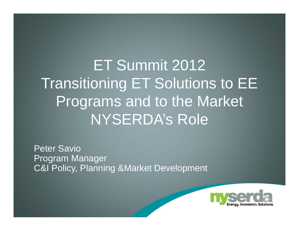ET Summit 2012 Transitioning ET Solutions to EE Programs and to the Market NYSERDA's Role

Peter SavioProgram Manager C&I Policy, Planning &Market Development

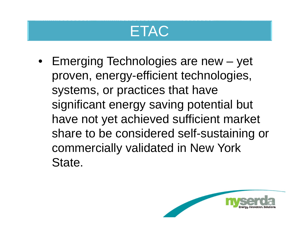### **ETAC**

• Emerging Technologies are new – yet proven, energy-efficient technologies, systems, or practices that have significant energy saving potential but have not yet achieved sufficient market share to be considered self-sustaining or commercially validated in New York State.

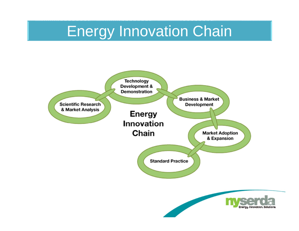## Energy Innovation Chain

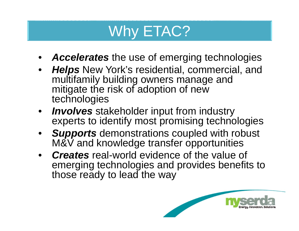# Why ETAC?

- •*Accelerates* the use of emerging technologies
- • *Helps* New York's residential, commercial, and multifamily building owners manage and mitigate the risk of adoption of new technologies
- • *Involves* stakeholder input from industry experts to identify most promising technologies
- • *Supports* demonstrations coupled with robust M&V and knowledge transfer opportunities
- • *Creates* real-world evidence of the value of emerging technologies and provides benefits to those ready to lead the way

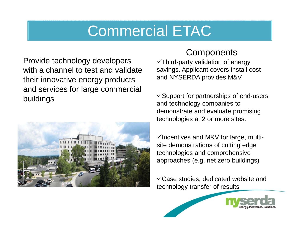## Commercial ETAC

Provide technology developers with a channel to test and validate their innovative energy products and services for large commercial buildings



#### **Components**

 $\checkmark$ Third-party validation of energy savings. Applicant covers install cost and NYSERDA provides M&V.

 $\checkmark$  Support for partnerships of end-users and technology companies to demonstrate and evaluate promising technologies at 2 or more sites.

 $\checkmark$  Incentives and M&V for large, multisite demonstrations of cutting edge technologies and comprehensive approaches (e.g. net zero buildings)

Case studies, dedicated website and technology transfer of results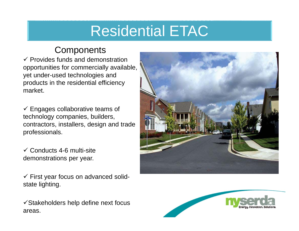# Residential ETAC

#### **Components**

 $\checkmark$  Provides funds and demonstration opportunities for commercially available, yet under-used technologies and products in the residential efficiency market.

 $\checkmark$  Engages collaborative teams of technology companies, builders, contractors, installers, design and trade professionals.

 $\checkmark$  Conducts 4-6 multi-site demonstrations per year.

 $\checkmark$  First year focus on advanced solidstate lighting.

 $\checkmark$ Stakeholders help define next focus areas.



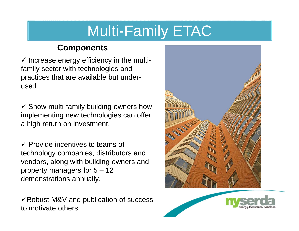# Multi-Family ETAC

#### **Components**

 $\checkmark$  Increase energy efficiency in the multifamily sector with technologies and practices that are available but underused.

 $\checkmark$  Show multi-family building owners how implementing new technologies can offer a high return on investment.

 $\checkmark$  Provide incentives to teams of technology companies, distributors and vendors, along with building owners and property managers for 5 – 12 demonstrations annually.

 $\checkmark$  Robust M&V and publication of success to motivate others



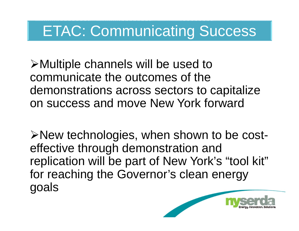## ETAC: Communicating Success

Multiple channels will be used to communicate the outcomes of the demonstrations across sectors to capitalize on success and move New York forward

New technologies, when shown to be costeffective through demonstration and replication will be part of New York's "tool kit" for reaching the Governor's clean energy goals

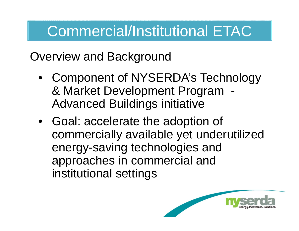# Commercial/Institutional ETAC

Overview and Background

- Component of NYSERDA's Technology & Market Development Program - Advanced Buildings initiative
- Goal: accelerate the adoption of commercially available yet underutilized energy-saving technologies and approaches in commercial and institutional settings

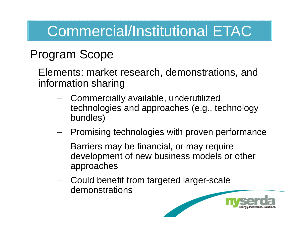# Commercial/Institutional ETAC

#### Program Scope

Elements: market research, demonstrations, and information sharing

- Commercially available, underutilized technologies and approaches (e.g., technology bundles)
- Promising technologies with proven performance
- Barriers may be financial, or may require development of new business models or other approaches
- Could benefit from targeted larger-scale demonstrations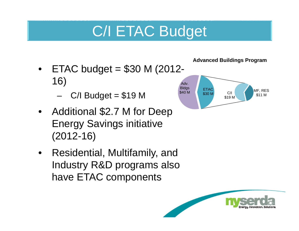# C/I ETAC Budget

- •ETAC budget =  $$30$  M (2012-16)
	- $C/I$  Budget = \$19 M
- • Additional \$2.7 M for Deep Energy Savings initiative (2012-16)
- • Residential, Multifamily, and Industry R&D programs also have ETAC components



**Advanced Buildings Program** 

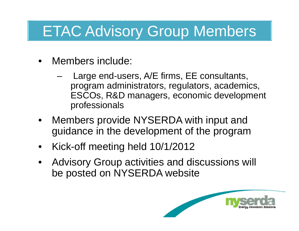## ETAC Advisory Group Members

- • Members include:
	- Large end-users, A/E firms, EE consultants, program administrators, regulators, academics, ESCOs, R&D managers, economic development professionals
- • Members provide NYSERDA with input and guidance in the development of the program
- •Kick-off meeting held 10/1/2012
- • Advisory Group activities and discussions will be posted on NYSERDA website

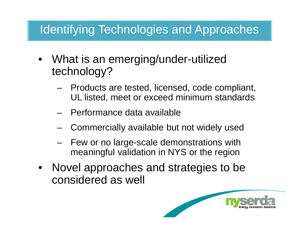#### Identifying Technologies and Approaches

- • What is an emerging/under-utilized technology?
	- Products are tested, licensed, code compliant, UL listed, meet or exceed minimum standards
	- Performance data available
	- –Commercially available but not widely used
	- Few or no large-scale demonstrations with meaningful validation in NYS or the region
- • Novel approaches and strategies to be considered as well

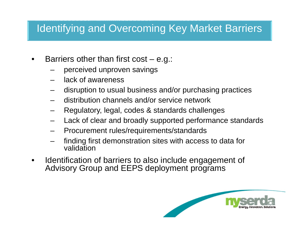#### Identifying and Overcoming Key Market Barriers

- • Barriers other than first cost – e.g.:
	- perceived unproven savings
	- lack of awareness
	- disruption to usual business and/or purchasing practices
	- distribution channels and/or service network
	- Regulatory, legal, codes & standards challenges
	- Lack of clear and broadly supported performance standards
	- Procurement rules/requirements/standards
	- finding first demonstration sites with access to data for validation
- • Identification of barriers to also include engagement of Advisory Group and EEPS deployment programs

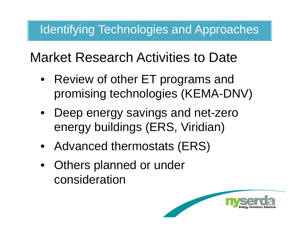#### Identifying Technologies and Approaches

### Market Research Activities to Date

- Review of other ET programs and promising technologies (KEMA-DNV)
- Deep energy savings and net-zero energy buildings (ERS, Viridian)
- Advanced thermostats (ERS)
- Others planned or under consideration

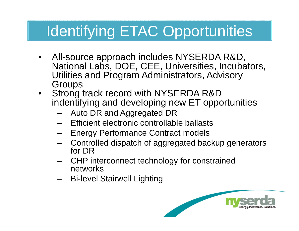# Identifying ETAC Opportunities

- • All-source approach includes NYSERDA R&D, National Labs, DOE, CEE, Universities, Incubators, Utilities and Program Administrators, Advisory **Groups**
- • Strong track record with NYSERDA R&D indentifying and developing new ET opportunities
	- Auto DR and Aggregated DR
	- –Efficient electronic controllable ballasts
	- Energy Performance Contract models
	- Controlled dispatch of aggregated backup generators for DR
	- CHP interconnect technology for constrained networks
	- –Bi-level Stairwell Lighting

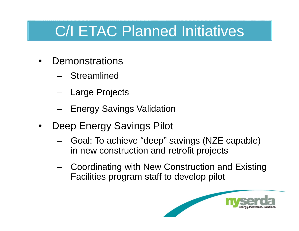# C/I ETAC Planned Initiatives

- •**Demonstrations** 
	- Streamlined
	- Large Projects
	- Energy Savings Validation
- • Deep Energy Savings Pilot
	- – Goal: To achieve "deep" savings (NZE capable) in new construction and retrofit projects
	- Coordinating with New Construction and Existing Facilities program staff to develop pilot

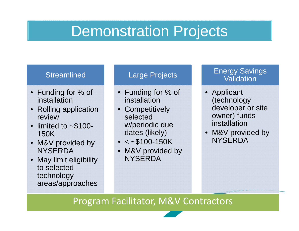### Demonstration Projects

#### Streamlined

- Funding for % of installation
- • Rolling application review
- • limited to ~\$100- 150K
- M&V provided by **NYSERDA**
- • May limit eligibility to selected technology areas/approaches

#### Large Projects

- Funding for % of installation
- •**Competitively** selected w/periodic due dates (likely)
- $\bullet$   $<$   $\sim$ \$100-150K
- • M&V provided by **NYSERDA**

#### Energy Savings Validation

- Applicant (technology developer or site owner) funds installation
- M&V provided by **NYSERDA**

Program Facilitator, M&V Contractors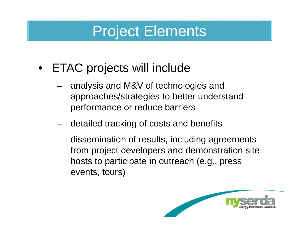## Project Elements

- ETAC projects will include
	- – analysis and M&V of technologies and approaches/strategies to better understand performance or reduce barriers
	- detailed tracking of costs and benefits
	- dissemination of results, including agreements from project developers and demonstration site hosts to participate in outreach (e.g., press events, tours)

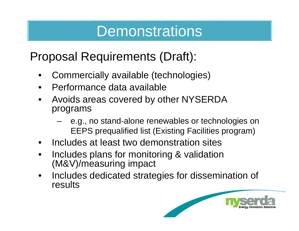### **Demonstrations**

#### Proposal Requirements (Draft):

- •Commercially available (technologies)
- •Performance data available
- • Avoids areas covered by other NYSERDA programs
	- – e.g., no stand-alone renewables or technologies on EEPS prequalified list (Existing Facilities program)
- •Includes at least two demonstration sites
- • Includes plans for monitoring & validation (M&V)/measuring impact
- • Includes dedicated strategies for dissemination of results

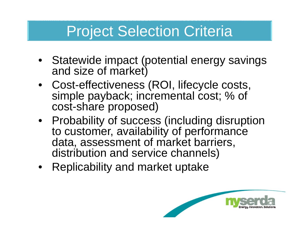## Project Selection Criteria

- Statewide impact (potential energy savings and size of market)
- Cost-effectiveness (ROI, lifecycle costs, simple payback; incremental cost; % of cost-share proposed)
- Probability of success (including disruption to customer, availability of performance data, assessment of market barriers, distribution and service channels)
- Replicability and market uptake

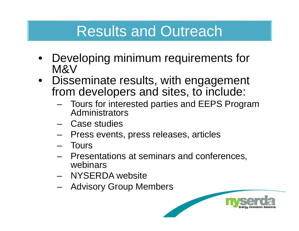### Results and Outreach

- • Developing minimum requirements for M&V
- Disseminate results, with engagement from developers and sites, to include:
	- Tours for interested parties and EEPS Program Administrators
	- Case studies
	- Press events, press releases, articles
	- **Tours**
	- Presentations at seminars and conferences, webinars
	- NYSERDA website
	- –Advisory Group Members

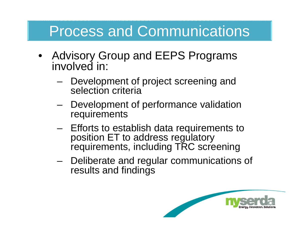# Process and Communications

- Advisory Group and EEPS Programs involved in:
	- – Development of project screening and selection criteria
	- Development of performance validation requirements
	- – Efforts to establish data requirements to position ET to address regulatory requirements, including TRC screening
	- – Deliberate and regular communications of results and findings

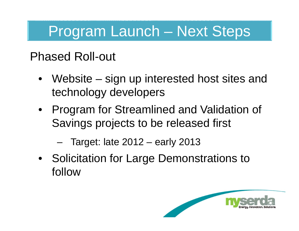# Program Launch – Next Steps

#### Phased Roll-out

- Website sign up interested host sites and technology developers
- Program for Streamlined and Validation of Savings projects to be released first
	- Target: late 2012 early 2013
- Solicitation for Large Demonstrations to follow